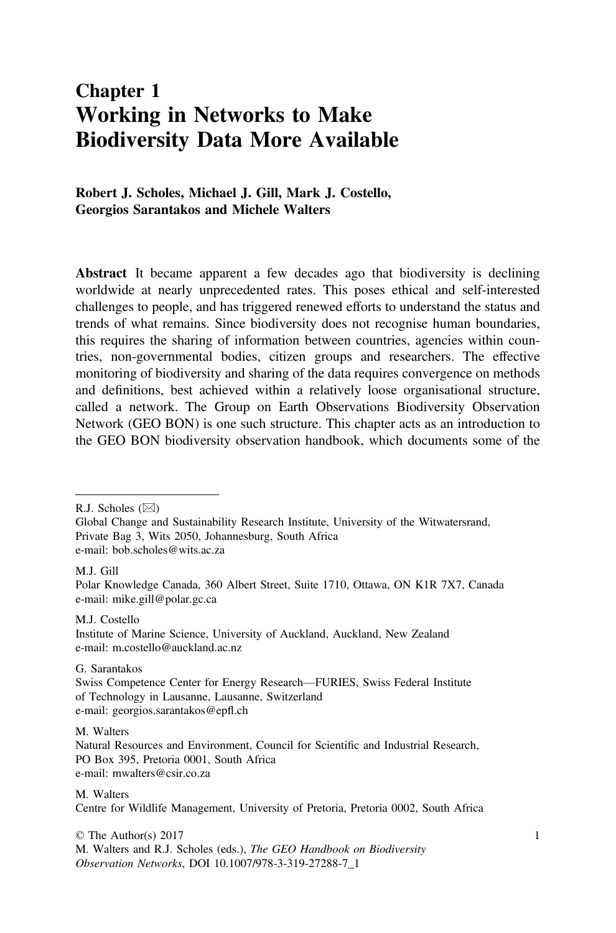# Chapter 1 Working in Networks to Make Biodiversity Data More Available

## Robert J. Scholes, Michael J. Gill, Mark J. Costello, Georgios Sarantakos and Michele Walters

Abstract It became apparent a few decades ago that biodiversity is declining worldwide at nearly unprecedented rates. This poses ethical and self-interested challenges to people, and has triggered renewed efforts to understand the status and trends of what remains. Since biodiversity does not recognise human boundaries, this requires the sharing of information between countries, agencies within countries, non-governmental bodies, citizen groups and researchers. The effective monitoring of biodiversity and sharing of the data requires convergence on methods and definitions, best achieved within a relatively loose organisational structure, called a network. The Group on Earth Observations Biodiversity Observation Network (GEO BON) is one such structure. This chapter acts as an introduction to the GEO BON biodiversity observation handbook, which documents some of the

R.J. Scholes  $(\boxtimes)$ 

M.I. Gill

M.J. Costello

G. Sarantakos Swiss Competence Center for Energy Research—FURIES, Swiss Federal Institute of Technology in Lausanne, Lausanne, Switzerland e-mail: georgios.sarantakos@epfl.ch

M. Walters

© The Author(s) 2017 M. Walters and R.J. Scholes (eds.), The GEO Handbook on Biodiversity Observation Networks, DOI 10.1007/978-3-319-27288-7\_1

Global Change and Sustainability Research Institute, University of the Witwatersrand, Private Bag 3, Wits 2050, Johannesburg, South Africa e-mail: bob.scholes@wits.ac.za

Polar Knowledge Canada, 360 Albert Street, Suite 1710, Ottawa, ON K1R 7X7, Canada e-mail: mike.gill@polar.gc.ca

Institute of Marine Science, University of Auckland, Auckland, New Zealand e-mail: m.costello@auckland.ac.nz

Natural Resources and Environment, Council for Scientific and Industrial Research, PO Box 395, Pretoria 0001, South Africa e-mail: mwalters@csir.co.za

M. Walters Centre for Wildlife Management, University of Pretoria, Pretoria 0002, South Africa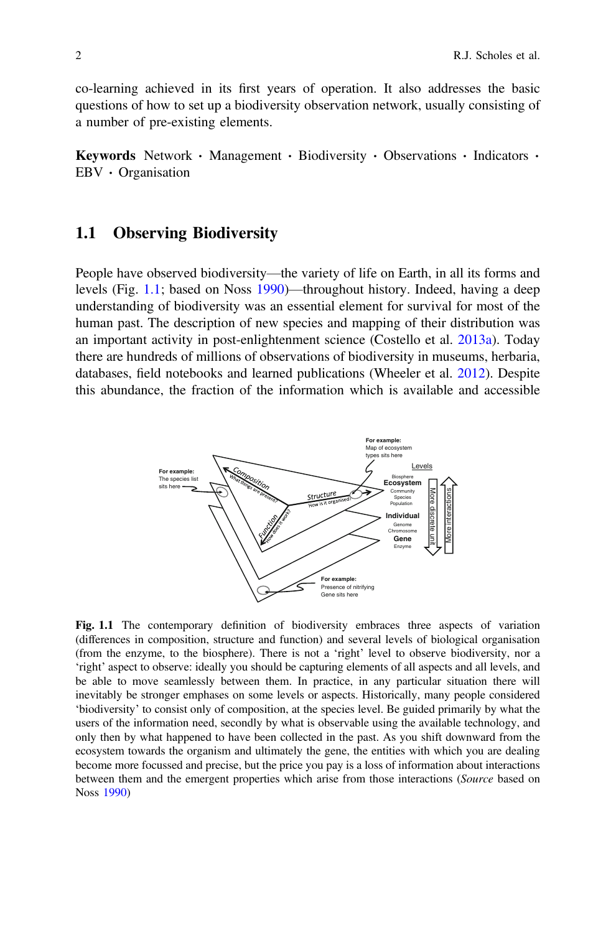co-learning achieved in its first years of operation. It also addresses the basic questions of how to set up a biodiversity observation network, usually consisting of a number of pre-existing elements.

Keywords Network Management Biodiversity Observations Indicators EBV Organisation

## 1.1 Observing Biodiversity

People have observed biodiversity—the variety of life on Earth, in all its forms and levels (Fig. 1.1; based on Noss [1990\)](#page-15-0)—throughout history. Indeed, having a deep understanding of biodiversity was an essential element for survival for most of the human past. The description of new species and mapping of their distribution was an important activity in post-enlightenment science (Costello et al. [2013a](#page-14-0)). Today there are hundreds of millions of observations of biodiversity in museums, herbaria, databases, field notebooks and learned publications (Wheeler et al. [2012](#page-16-0)). Despite this abundance, the fraction of the information which is available and accessible



Fig. 1.1 The contemporary definition of biodiversity embraces three aspects of variation (differences in composition, structure and function) and several levels of biological organisation (from the enzyme, to the biosphere). There is not a 'right' level to observe biodiversity, nor a 'right' aspect to observe: ideally you should be capturing elements of all aspects and all levels, and be able to move seamlessly between them. In practice, in any particular situation there will inevitably be stronger emphases on some levels or aspects. Historically, many people considered 'biodiversity' to consist only of composition, at the species level. Be guided primarily by what the users of the information need, secondly by what is observable using the available technology, and only then by what happened to have been collected in the past. As you shift downward from the ecosystem towards the organism and ultimately the gene, the entities with which you are dealing become more focussed and precise, but the price you pay is a loss of information about interactions between them and the emergent properties which arise from those interactions (Source based on Noss [1990](#page-15-0))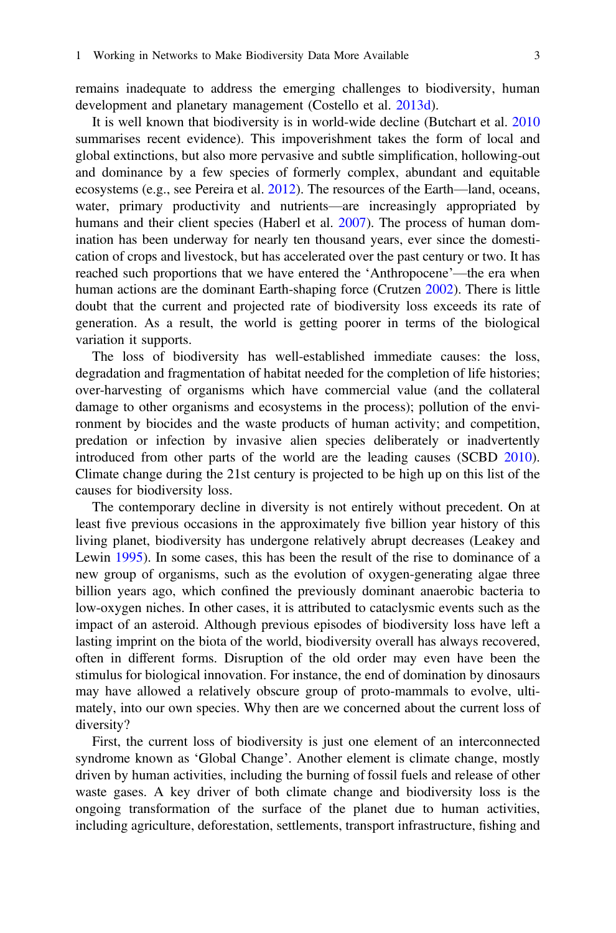remains inadequate to address the emerging challenges to biodiversity, human development and planetary management (Costello et al. [2013d\)](#page-14-0).

It is well known that biodiversity is in world-wide decline (Butchart et al. [2010](#page-14-0) summarises recent evidence). This impoverishment takes the form of local and global extinctions, but also more pervasive and subtle simplification, hollowing-out and dominance by a few species of formerly complex, abundant and equitable ecosystems (e.g., see Pereira et al. [2012](#page-15-0)). The resources of the Earth—land, oceans, water, primary productivity and nutrients—are increasingly appropriated by humans and their client species (Haberl et al. [2007](#page-15-0)). The process of human domination has been underway for nearly ten thousand years, ever since the domestication of crops and livestock, but has accelerated over the past century or two. It has reached such proportions that we have entered the 'Anthropocene'—the era when human actions are the dominant Earth-shaping force (Crutzen [2002\)](#page-15-0). There is little doubt that the current and projected rate of biodiversity loss exceeds its rate of generation. As a result, the world is getting poorer in terms of the biological variation it supports.

The loss of biodiversity has well-established immediate causes: the loss, degradation and fragmentation of habitat needed for the completion of life histories; over-harvesting of organisms which have commercial value (and the collateral damage to other organisms and ecosystems in the process); pollution of the environment by biocides and the waste products of human activity; and competition, predation or infection by invasive alien species deliberately or inadvertently introduced from other parts of the world are the leading causes (SCBD [2010\)](#page-15-0). Climate change during the 21st century is projected to be high up on this list of the causes for biodiversity loss.

The contemporary decline in diversity is not entirely without precedent. On at least five previous occasions in the approximately five billion year history of this living planet, biodiversity has undergone relatively abrupt decreases (Leakey and Lewin [1995](#page-15-0)). In some cases, this has been the result of the rise to dominance of a new group of organisms, such as the evolution of oxygen-generating algae three billion years ago, which confined the previously dominant anaerobic bacteria to low-oxygen niches. In other cases, it is attributed to cataclysmic events such as the impact of an asteroid. Although previous episodes of biodiversity loss have left a lasting imprint on the biota of the world, biodiversity overall has always recovered, often in different forms. Disruption of the old order may even have been the stimulus for biological innovation. For instance, the end of domination by dinosaurs may have allowed a relatively obscure group of proto-mammals to evolve, ultimately, into our own species. Why then are we concerned about the current loss of diversity?

First, the current loss of biodiversity is just one element of an interconnected syndrome known as 'Global Change'. Another element is climate change, mostly driven by human activities, including the burning of fossil fuels and release of other waste gases. A key driver of both climate change and biodiversity loss is the ongoing transformation of the surface of the planet due to human activities, including agriculture, deforestation, settlements, transport infrastructure, fishing and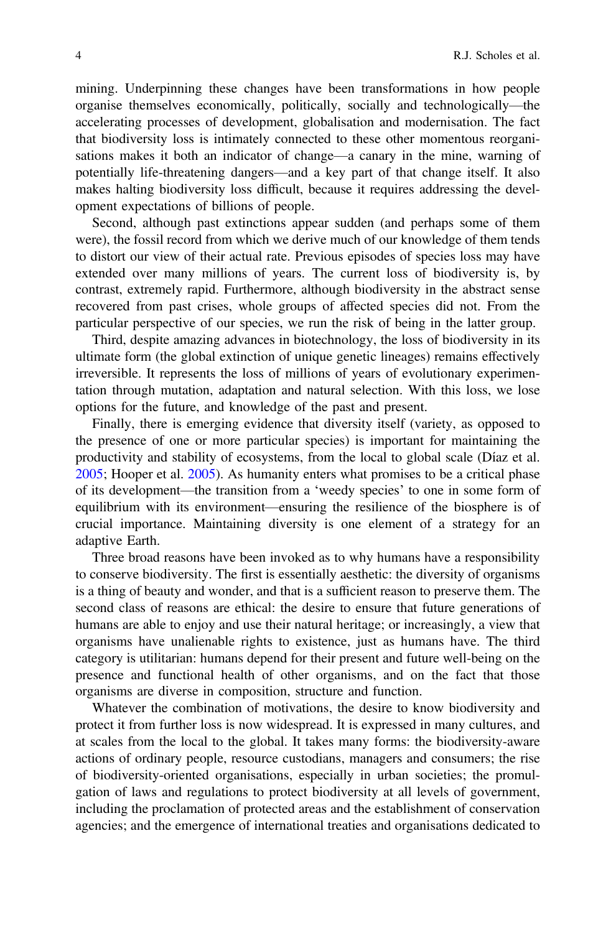mining. Underpinning these changes have been transformations in how people organise themselves economically, politically, socially and technologically—the accelerating processes of development, globalisation and modernisation. The fact that biodiversity loss is intimately connected to these other momentous reorganisations makes it both an indicator of change—a canary in the mine, warning of potentially life-threatening dangers—and a key part of that change itself. It also makes halting biodiversity loss difficult, because it requires addressing the development expectations of billions of people.

Second, although past extinctions appear sudden (and perhaps some of them were), the fossil record from which we derive much of our knowledge of them tends to distort our view of their actual rate. Previous episodes of species loss may have extended over many millions of years. The current loss of biodiversity is, by contrast, extremely rapid. Furthermore, although biodiversity in the abstract sense recovered from past crises, whole groups of affected species did not. From the particular perspective of our species, we run the risk of being in the latter group.

Third, despite amazing advances in biotechnology, the loss of biodiversity in its ultimate form (the global extinction of unique genetic lineages) remains effectively irreversible. It represents the loss of millions of years of evolutionary experimentation through mutation, adaptation and natural selection. With this loss, we lose options for the future, and knowledge of the past and present.

Finally, there is emerging evidence that diversity itself (variety, as opposed to the presence of one or more particular species) is important for maintaining the productivity and stability of ecosystems, from the local to global scale (Díaz et al. [2005;](#page-15-0) Hooper et al. [2005\)](#page-15-0). As humanity enters what promises to be a critical phase of its development—the transition from a 'weedy species' to one in some form of equilibrium with its environment—ensuring the resilience of the biosphere is of crucial importance. Maintaining diversity is one element of a strategy for an adaptive Earth.

Three broad reasons have been invoked as to why humans have a responsibility to conserve biodiversity. The first is essentially aesthetic: the diversity of organisms is a thing of beauty and wonder, and that is a sufficient reason to preserve them. The second class of reasons are ethical: the desire to ensure that future generations of humans are able to enjoy and use their natural heritage; or increasingly, a view that organisms have unalienable rights to existence, just as humans have. The third category is utilitarian: humans depend for their present and future well-being on the presence and functional health of other organisms, and on the fact that those organisms are diverse in composition, structure and function.

Whatever the combination of motivations, the desire to know biodiversity and protect it from further loss is now widespread. It is expressed in many cultures, and at scales from the local to the global. It takes many forms: the biodiversity-aware actions of ordinary people, resource custodians, managers and consumers; the rise of biodiversity-oriented organisations, especially in urban societies; the promulgation of laws and regulations to protect biodiversity at all levels of government, including the proclamation of protected areas and the establishment of conservation agencies; and the emergence of international treaties and organisations dedicated to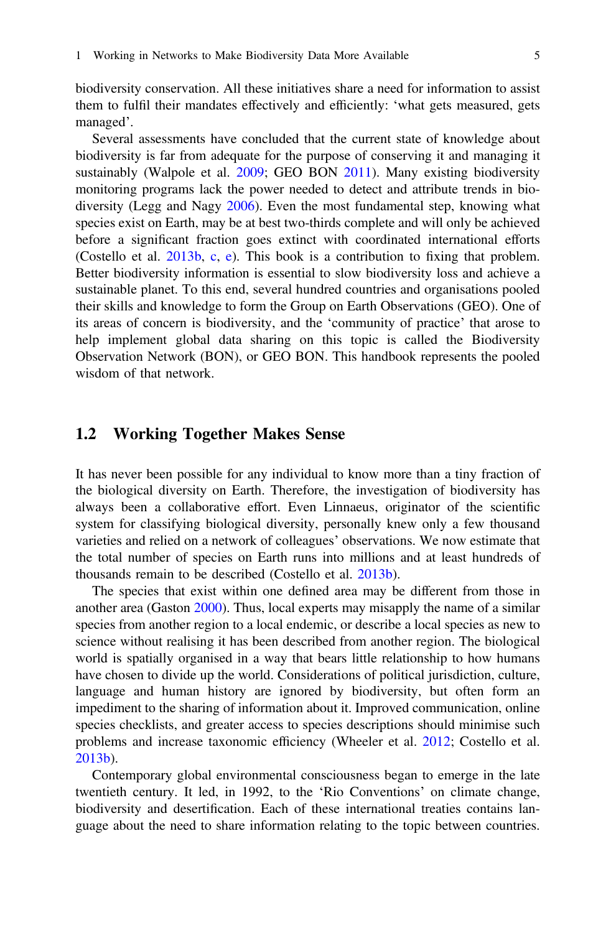biodiversity conservation. All these initiatives share a need for information to assist them to fulfil their mandates effectively and efficiently: 'what gets measured, gets managed'.

Several assessments have concluded that the current state of knowledge about biodiversity is far from adequate for the purpose of conserving it and managing it sustainably (Walpole et al. [2009;](#page-16-0) GEO BON [2011](#page-15-0)). Many existing biodiversity monitoring programs lack the power needed to detect and attribute trends in biodiversity (Legg and Nagy [2006\)](#page-15-0). Even the most fundamental step, knowing what species exist on Earth, may be at best two-thirds complete and will only be achieved before a significant fraction goes extinct with coordinated international efforts (Costello et al. [2013b,](#page-14-0) [c,](#page-14-0) [e\)](#page-14-0). This book is a contribution to fixing that problem. Better biodiversity information is essential to slow biodiversity loss and achieve a sustainable planet. To this end, several hundred countries and organisations pooled their skills and knowledge to form the Group on Earth Observations (GEO). One of its areas of concern is biodiversity, and the 'community of practice' that arose to help implement global data sharing on this topic is called the Biodiversity Observation Network (BON), or GEO BON. This handbook represents the pooled wisdom of that network.

## 1.2 Working Together Makes Sense

It has never been possible for any individual to know more than a tiny fraction of the biological diversity on Earth. Therefore, the investigation of biodiversity has always been a collaborative effort. Even Linnaeus, originator of the scientific system for classifying biological diversity, personally knew only a few thousand varieties and relied on a network of colleagues' observations. We now estimate that the total number of species on Earth runs into millions and at least hundreds of thousands remain to be described (Costello et al. [2013b](#page-14-0)).

The species that exist within one defined area may be different from those in another area (Gaston [2000](#page-15-0)). Thus, local experts may misapply the name of a similar species from another region to a local endemic, or describe a local species as new to science without realising it has been described from another region. The biological world is spatially organised in a way that bears little relationship to how humans have chosen to divide up the world. Considerations of political jurisdiction, culture, language and human history are ignored by biodiversity, but often form an impediment to the sharing of information about it. Improved communication, online species checklists, and greater access to species descriptions should minimise such problems and increase taxonomic efficiency (Wheeler et al. [2012;](#page-16-0) Costello et al. [2013b\)](#page-14-0).

Contemporary global environmental consciousness began to emerge in the late twentieth century. It led, in 1992, to the 'Rio Conventions' on climate change, biodiversity and desertification. Each of these international treaties contains language about the need to share information relating to the topic between countries.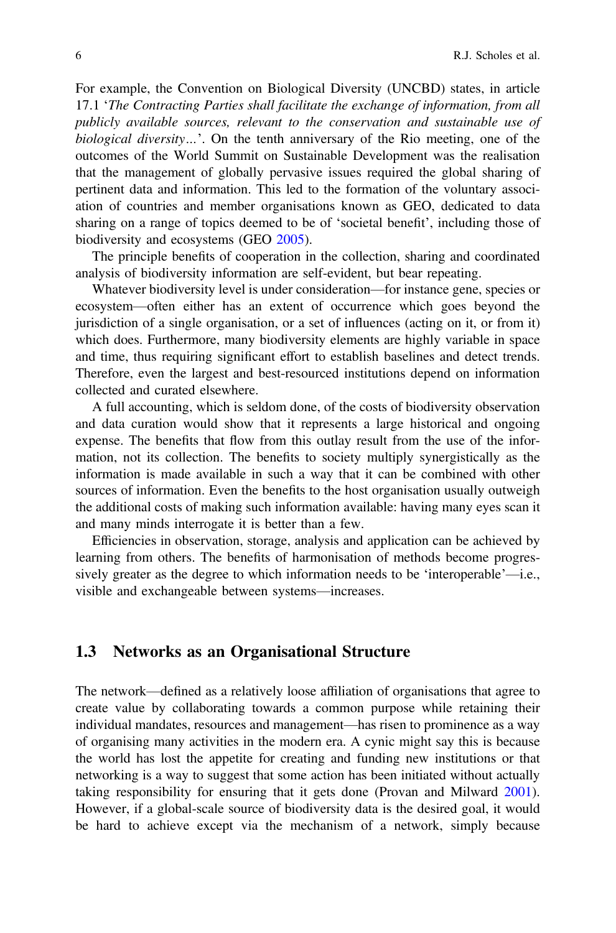For example, the Convention on Biological Diversity (UNCBD) states, in article 17.1 'The Contracting Parties shall facilitate the exchange of information, from all publicly available sources, relevant to the conservation and sustainable use of biological diversity…'. On the tenth anniversary of the Rio meeting, one of the outcomes of the World Summit on Sustainable Development was the realisation that the management of globally pervasive issues required the global sharing of pertinent data and information. This led to the formation of the voluntary association of countries and member organisations known as GEO, dedicated to data sharing on a range of topics deemed to be of 'societal benefit', including those of biodiversity and ecosystems (GEO [2005](#page-15-0)).

The principle benefits of cooperation in the collection, sharing and coordinated analysis of biodiversity information are self-evident, but bear repeating.

Whatever biodiversity level is under consideration—for instance gene, species or ecosystem—often either has an extent of occurrence which goes beyond the jurisdiction of a single organisation, or a set of influences (acting on it, or from it) which does. Furthermore, many biodiversity elements are highly variable in space and time, thus requiring significant effort to establish baselines and detect trends. Therefore, even the largest and best-resourced institutions depend on information collected and curated elsewhere.

A full accounting, which is seldom done, of the costs of biodiversity observation and data curation would show that it represents a large historical and ongoing expense. The benefits that flow from this outlay result from the use of the information, not its collection. The benefits to society multiply synergistically as the information is made available in such a way that it can be combined with other sources of information. Even the benefits to the host organisation usually outweigh the additional costs of making such information available: having many eyes scan it and many minds interrogate it is better than a few.

Efficiencies in observation, storage, analysis and application can be achieved by learning from others. The benefits of harmonisation of methods become progressively greater as the degree to which information needs to be 'interoperable'—i.e., visible and exchangeable between systems—increases.

#### 1.3 Networks as an Organisational Structure

The network—defined as a relatively loose affiliation of organisations that agree to create value by collaborating towards a common purpose while retaining their individual mandates, resources and management—has risen to prominence as a way of organising many activities in the modern era. A cynic might say this is because the world has lost the appetite for creating and funding new institutions or that networking is a way to suggest that some action has been initiated without actually taking responsibility for ensuring that it gets done (Provan and Milward [2001\)](#page-15-0). However, if a global-scale source of biodiversity data is the desired goal, it would be hard to achieve except via the mechanism of a network, simply because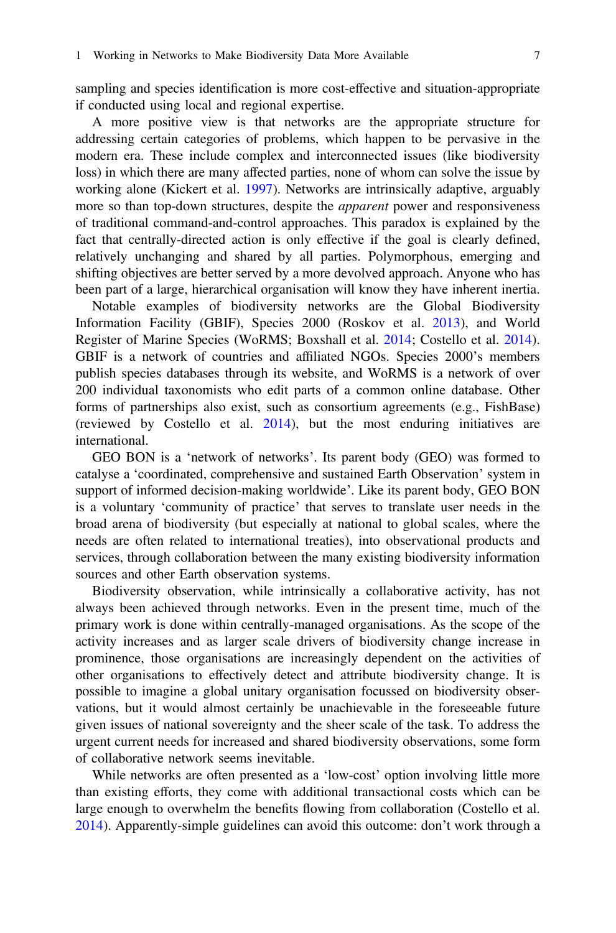sampling and species identification is more cost-effective and situation-appropriate if conducted using local and regional expertise.

A more positive view is that networks are the appropriate structure for addressing certain categories of problems, which happen to be pervasive in the modern era. These include complex and interconnected issues (like biodiversity loss) in which there are many affected parties, none of whom can solve the issue by working alone (Kickert et al. [1997\)](#page-15-0). Networks are intrinsically adaptive, arguably more so than top-down structures, despite the *apparent* power and responsiveness of traditional command-and-control approaches. This paradox is explained by the fact that centrally-directed action is only effective if the goal is clearly defined, relatively unchanging and shared by all parties. Polymorphous, emerging and shifting objectives are better served by a more devolved approach. Anyone who has been part of a large, hierarchical organisation will know they have inherent inertia.

Notable examples of biodiversity networks are the Global Biodiversity Information Facility (GBIF), Species 2000 (Roskov et al. [2013\)](#page-15-0), and World Register of Marine Species (WoRMS; Boxshall et al. [2014;](#page-14-0) Costello et al. [2014\)](#page-14-0). GBIF is a network of countries and affiliated NGOs. Species 2000's members publish species databases through its website, and WoRMS is a network of over 200 individual taxonomists who edit parts of a common online database. Other forms of partnerships also exist, such as consortium agreements (e.g., FishBase) (reviewed by Costello et al. [2014\)](#page-14-0), but the most enduring initiatives are international.

GEO BON is a 'network of networks'. Its parent body (GEO) was formed to catalyse a 'coordinated, comprehensive and sustained Earth Observation' system in support of informed decision-making worldwide'. Like its parent body, GEO BON is a voluntary 'community of practice' that serves to translate user needs in the broad arena of biodiversity (but especially at national to global scales, where the needs are often related to international treaties), into observational products and services, through collaboration between the many existing biodiversity information sources and other Earth observation systems.

Biodiversity observation, while intrinsically a collaborative activity, has not always been achieved through networks. Even in the present time, much of the primary work is done within centrally-managed organisations. As the scope of the activity increases and as larger scale drivers of biodiversity change increase in prominence, those organisations are increasingly dependent on the activities of other organisations to effectively detect and attribute biodiversity change. It is possible to imagine a global unitary organisation focussed on biodiversity observations, but it would almost certainly be unachievable in the foreseeable future given issues of national sovereignty and the sheer scale of the task. To address the urgent current needs for increased and shared biodiversity observations, some form of collaborative network seems inevitable.

While networks are often presented as a 'low-cost' option involving little more than existing efforts, they come with additional transactional costs which can be large enough to overwhelm the benefits flowing from collaboration (Costello et al. [2014\)](#page-14-0). Apparently-simple guidelines can avoid this outcome: don't work through a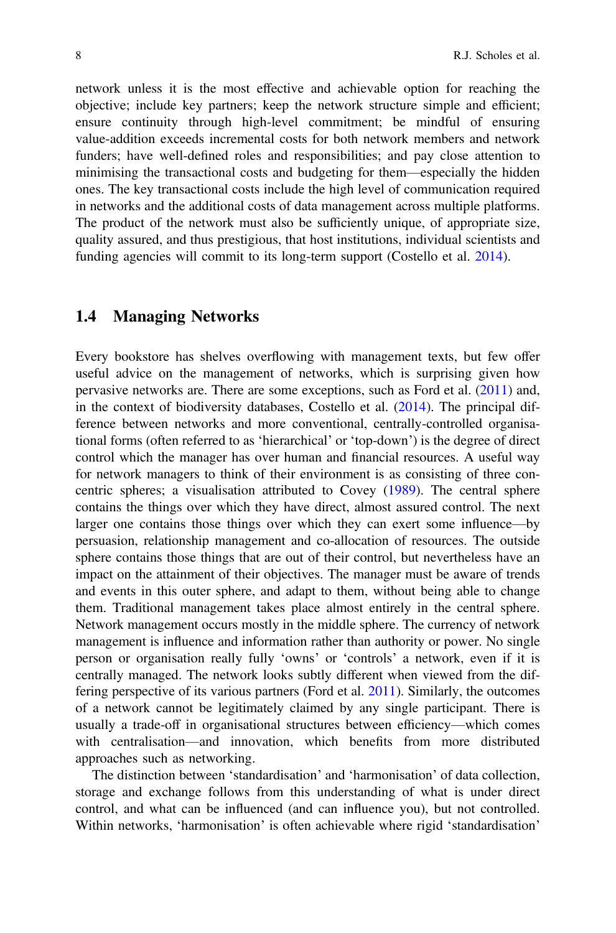network unless it is the most effective and achievable option for reaching the objective; include key partners; keep the network structure simple and efficient; ensure continuity through high-level commitment; be mindful of ensuring value-addition exceeds incremental costs for both network members and network funders; have well-defined roles and responsibilities; and pay close attention to minimising the transactional costs and budgeting for them—especially the hidden ones. The key transactional costs include the high level of communication required in networks and the additional costs of data management across multiple platforms. The product of the network must also be sufficiently unique, of appropriate size, quality assured, and thus prestigious, that host institutions, individual scientists and funding agencies will commit to its long-term support (Costello et al. [2014](#page-14-0)).

#### 1.4 Managing Networks

Every bookstore has shelves overflowing with management texts, but few offer useful advice on the management of networks, which is surprising given how pervasive networks are. There are some exceptions, such as Ford et al. ([2011\)](#page-15-0) and, in the context of biodiversity databases, Costello et al. [\(2014](#page-14-0)). The principal difference between networks and more conventional, centrally-controlled organisational forms (often referred to as 'hierarchical' or 'top-down') is the degree of direct control which the manager has over human and financial resources. A useful way for network managers to think of their environment is as consisting of three concentric spheres; a visualisation attributed to Covey ([1989\)](#page-14-0). The central sphere contains the things over which they have direct, almost assured control. The next larger one contains those things over which they can exert some influence—by persuasion, relationship management and co-allocation of resources. The outside sphere contains those things that are out of their control, but nevertheless have an impact on the attainment of their objectives. The manager must be aware of trends and events in this outer sphere, and adapt to them, without being able to change them. Traditional management takes place almost entirely in the central sphere. Network management occurs mostly in the middle sphere. The currency of network management is influence and information rather than authority or power. No single person or organisation really fully 'owns' or 'controls' a network, even if it is centrally managed. The network looks subtly different when viewed from the differing perspective of its various partners (Ford et al. [2011\)](#page-15-0). Similarly, the outcomes of a network cannot be legitimately claimed by any single participant. There is usually a trade-off in organisational structures between efficiency—which comes with centralisation—and innovation, which benefits from more distributed approaches such as networking.

The distinction between 'standardisation' and 'harmonisation' of data collection, storage and exchange follows from this understanding of what is under direct control, and what can be influenced (and can influence you), but not controlled. Within networks, 'harmonisation' is often achievable where rigid 'standardisation'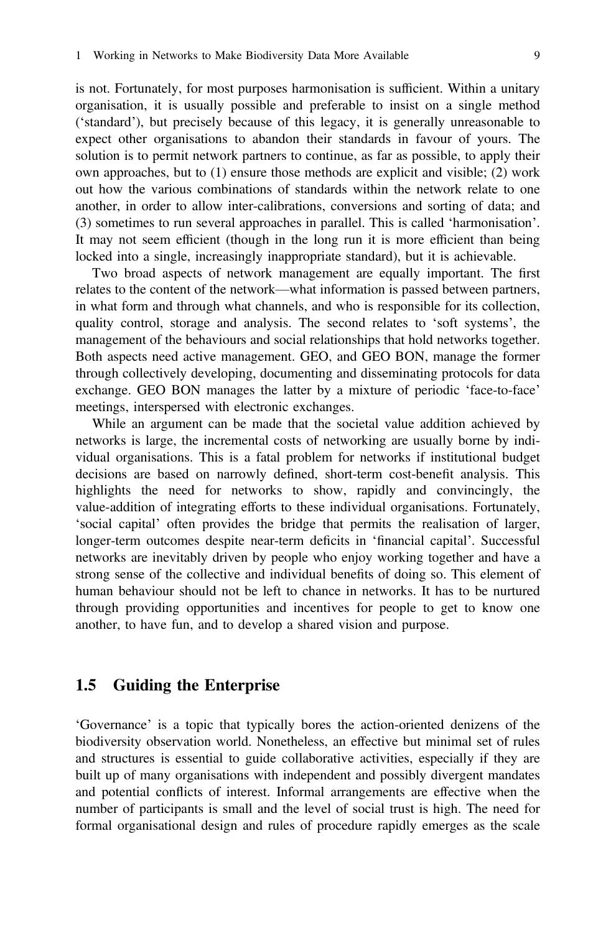is not. Fortunately, for most purposes harmonisation is sufficient. Within a unitary organisation, it is usually possible and preferable to insist on a single method ('standard'), but precisely because of this legacy, it is generally unreasonable to expect other organisations to abandon their standards in favour of yours. The solution is to permit network partners to continue, as far as possible, to apply their own approaches, but to (1) ensure those methods are explicit and visible; (2) work out how the various combinations of standards within the network relate to one another, in order to allow inter-calibrations, conversions and sorting of data; and (3) sometimes to run several approaches in parallel. This is called 'harmonisation'. It may not seem efficient (though in the long run it is more efficient than being locked into a single, increasingly inappropriate standard), but it is achievable.

Two broad aspects of network management are equally important. The first relates to the content of the network—what information is passed between partners, in what form and through what channels, and who is responsible for its collection, quality control, storage and analysis. The second relates to 'soft systems', the management of the behaviours and social relationships that hold networks together. Both aspects need active management. GEO, and GEO BON, manage the former through collectively developing, documenting and disseminating protocols for data exchange. GEO BON manages the latter by a mixture of periodic 'face-to-face' meetings, interspersed with electronic exchanges.

While an argument can be made that the societal value addition achieved by networks is large, the incremental costs of networking are usually borne by individual organisations. This is a fatal problem for networks if institutional budget decisions are based on narrowly defined, short-term cost-benefit analysis. This highlights the need for networks to show, rapidly and convincingly, the value-addition of integrating efforts to these individual organisations. Fortunately, 'social capital' often provides the bridge that permits the realisation of larger, longer-term outcomes despite near-term deficits in 'financial capital'. Successful networks are inevitably driven by people who enjoy working together and have a strong sense of the collective and individual benefits of doing so. This element of human behaviour should not be left to chance in networks. It has to be nurtured through providing opportunities and incentives for people to get to know one another, to have fun, and to develop a shared vision and purpose.

#### 1.5 Guiding the Enterprise

'Governance' is a topic that typically bores the action-oriented denizens of the biodiversity observation world. Nonetheless, an effective but minimal set of rules and structures is essential to guide collaborative activities, especially if they are built up of many organisations with independent and possibly divergent mandates and potential conflicts of interest. Informal arrangements are effective when the number of participants is small and the level of social trust is high. The need for formal organisational design and rules of procedure rapidly emerges as the scale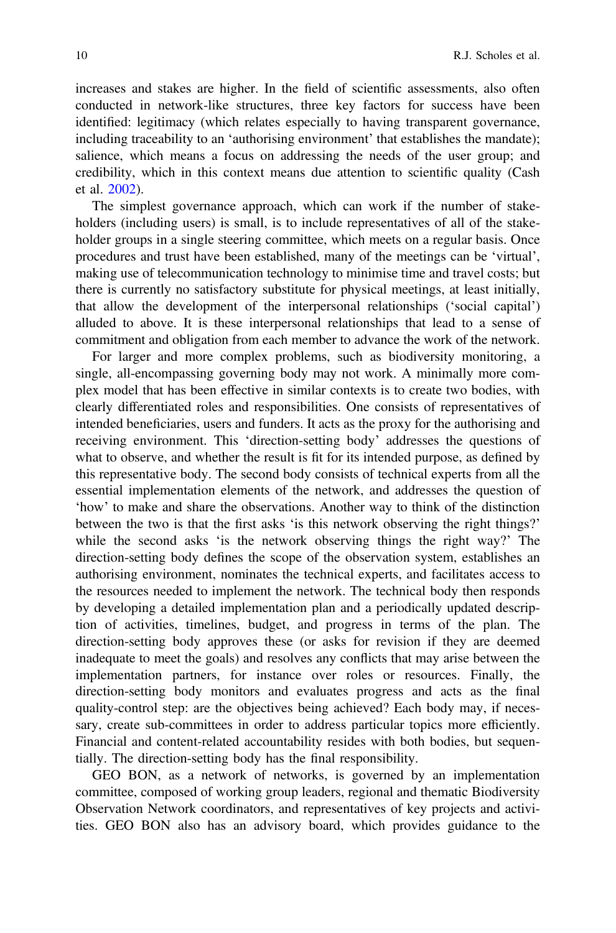increases and stakes are higher. In the field of scientific assessments, also often conducted in network-like structures, three key factors for success have been identified: legitimacy (which relates especially to having transparent governance, including traceability to an 'authorising environment' that establishes the mandate); salience, which means a focus on addressing the needs of the user group; and credibility, which in this context means due attention to scientific quality (Cash et al. [2002](#page-14-0)).

The simplest governance approach, which can work if the number of stakeholders (including users) is small, is to include representatives of all of the stakeholder groups in a single steering committee, which meets on a regular basis. Once procedures and trust have been established, many of the meetings can be 'virtual', making use of telecommunication technology to minimise time and travel costs; but there is currently no satisfactory substitute for physical meetings, at least initially, that allow the development of the interpersonal relationships ('social capital') alluded to above. It is these interpersonal relationships that lead to a sense of commitment and obligation from each member to advance the work of the network.

For larger and more complex problems, such as biodiversity monitoring, a single, all-encompassing governing body may not work. A minimally more complex model that has been effective in similar contexts is to create two bodies, with clearly differentiated roles and responsibilities. One consists of representatives of intended beneficiaries, users and funders. It acts as the proxy for the authorising and receiving environment. This 'direction-setting body' addresses the questions of what to observe, and whether the result is fit for its intended purpose, as defined by this representative body. The second body consists of technical experts from all the essential implementation elements of the network, and addresses the question of 'how' to make and share the observations. Another way to think of the distinction between the two is that the first asks 'is this network observing the right things?' while the second asks 'is the network observing things the right way?' The direction-setting body defines the scope of the observation system, establishes an authorising environment, nominates the technical experts, and facilitates access to the resources needed to implement the network. The technical body then responds by developing a detailed implementation plan and a periodically updated description of activities, timelines, budget, and progress in terms of the plan. The direction-setting body approves these (or asks for revision if they are deemed inadequate to meet the goals) and resolves any conflicts that may arise between the implementation partners, for instance over roles or resources. Finally, the direction-setting body monitors and evaluates progress and acts as the final quality-control step: are the objectives being achieved? Each body may, if necessary, create sub-committees in order to address particular topics more efficiently. Financial and content-related accountability resides with both bodies, but sequentially. The direction-setting body has the final responsibility.

GEO BON, as a network of networks, is governed by an implementation committee, composed of working group leaders, regional and thematic Biodiversity Observation Network coordinators, and representatives of key projects and activities. GEO BON also has an advisory board, which provides guidance to the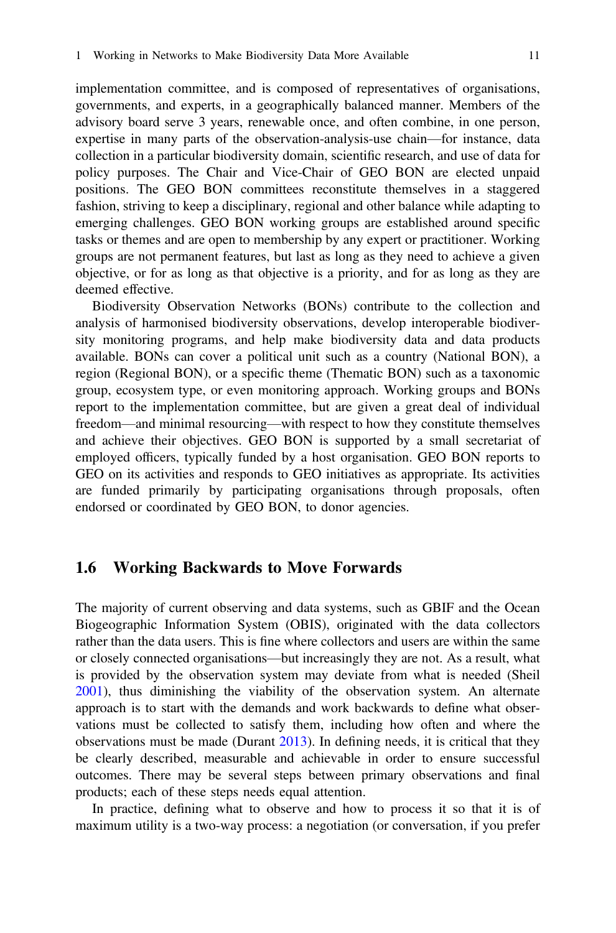implementation committee, and is composed of representatives of organisations, governments, and experts, in a geographically balanced manner. Members of the advisory board serve 3 years, renewable once, and often combine, in one person, expertise in many parts of the observation-analysis-use chain—for instance, data collection in a particular biodiversity domain, scientific research, and use of data for policy purposes. The Chair and Vice-Chair of GEO BON are elected unpaid positions. The GEO BON committees reconstitute themselves in a staggered fashion, striving to keep a disciplinary, regional and other balance while adapting to emerging challenges. GEO BON working groups are established around specific tasks or themes and are open to membership by any expert or practitioner. Working groups are not permanent features, but last as long as they need to achieve a given objective, or for as long as that objective is a priority, and for as long as they are deemed effective.

Biodiversity Observation Networks (BONs) contribute to the collection and analysis of harmonised biodiversity observations, develop interoperable biodiversity monitoring programs, and help make biodiversity data and data products available. BONs can cover a political unit such as a country (National BON), a region (Regional BON), or a specific theme (Thematic BON) such as a taxonomic group, ecosystem type, or even monitoring approach. Working groups and BONs report to the implementation committee, but are given a great deal of individual freedom—and minimal resourcing—with respect to how they constitute themselves and achieve their objectives. GEO BON is supported by a small secretariat of employed officers, typically funded by a host organisation. GEO BON reports to GEO on its activities and responds to GEO initiatives as appropriate. Its activities are funded primarily by participating organisations through proposals, often endorsed or coordinated by GEO BON, to donor agencies.

## 1.6 Working Backwards to Move Forwards

The majority of current observing and data systems, such as GBIF and the Ocean Biogeographic Information System (OBIS), originated with the data collectors rather than the data users. This is fine where collectors and users are within the same or closely connected organisations—but increasingly they are not. As a result, what is provided by the observation system may deviate from what is needed (Sheil [2001\)](#page-15-0), thus diminishing the viability of the observation system. An alternate approach is to start with the demands and work backwards to define what observations must be collected to satisfy them, including how often and where the observations must be made (Durant [2013](#page-15-0)). In defining needs, it is critical that they be clearly described, measurable and achievable in order to ensure successful outcomes. There may be several steps between primary observations and final products; each of these steps needs equal attention.

In practice, defining what to observe and how to process it so that it is of maximum utility is a two-way process: a negotiation (or conversation, if you prefer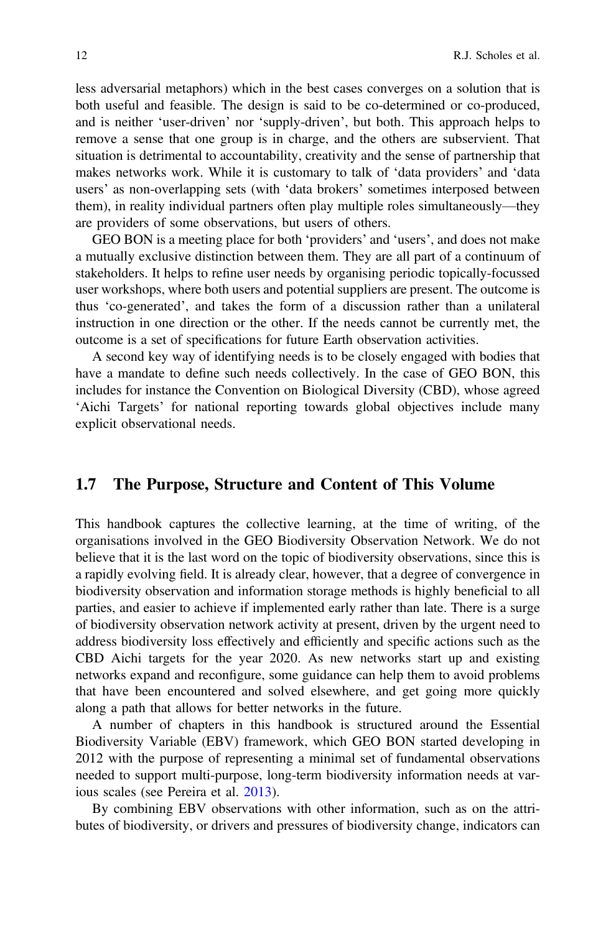less adversarial metaphors) which in the best cases converges on a solution that is both useful and feasible. The design is said to be co-determined or co-produced, and is neither 'user-driven' nor 'supply-driven', but both. This approach helps to remove a sense that one group is in charge, and the others are subservient. That situation is detrimental to accountability, creativity and the sense of partnership that makes networks work. While it is customary to talk of 'data providers' and 'data users' as non-overlapping sets (with 'data brokers' sometimes interposed between them), in reality individual partners often play multiple roles simultaneously—they are providers of some observations, but users of others.

GEO BON is a meeting place for both 'providers' and 'users', and does not make a mutually exclusive distinction between them. They are all part of a continuum of stakeholders. It helps to refine user needs by organising periodic topically-focussed user workshops, where both users and potential suppliers are present. The outcome is thus 'co-generated', and takes the form of a discussion rather than a unilateral instruction in one direction or the other. If the needs cannot be currently met, the outcome is a set of specifications for future Earth observation activities.

A second key way of identifying needs is to be closely engaged with bodies that have a mandate to define such needs collectively. In the case of GEO BON, this includes for instance the Convention on Biological Diversity (CBD), whose agreed 'Aichi Targets' for national reporting towards global objectives include many explicit observational needs.

## 1.7 The Purpose, Structure and Content of This Volume

This handbook captures the collective learning, at the time of writing, of the organisations involved in the GEO Biodiversity Observation Network. We do not believe that it is the last word on the topic of biodiversity observations, since this is a rapidly evolving field. It is already clear, however, that a degree of convergence in biodiversity observation and information storage methods is highly beneficial to all parties, and easier to achieve if implemented early rather than late. There is a surge of biodiversity observation network activity at present, driven by the urgent need to address biodiversity loss effectively and efficiently and specific actions such as the CBD Aichi targets for the year 2020. As new networks start up and existing networks expand and reconfigure, some guidance can help them to avoid problems that have been encountered and solved elsewhere, and get going more quickly along a path that allows for better networks in the future.

A number of chapters in this handbook is structured around the Essential Biodiversity Variable (EBV) framework, which GEO BON started developing in 2012 with the purpose of representing a minimal set of fundamental observations needed to support multi-purpose, long-term biodiversity information needs at various scales (see Pereira et al. [2013](#page-15-0)).

By combining EBV observations with other information, such as on the attributes of biodiversity, or drivers and pressures of biodiversity change, indicators can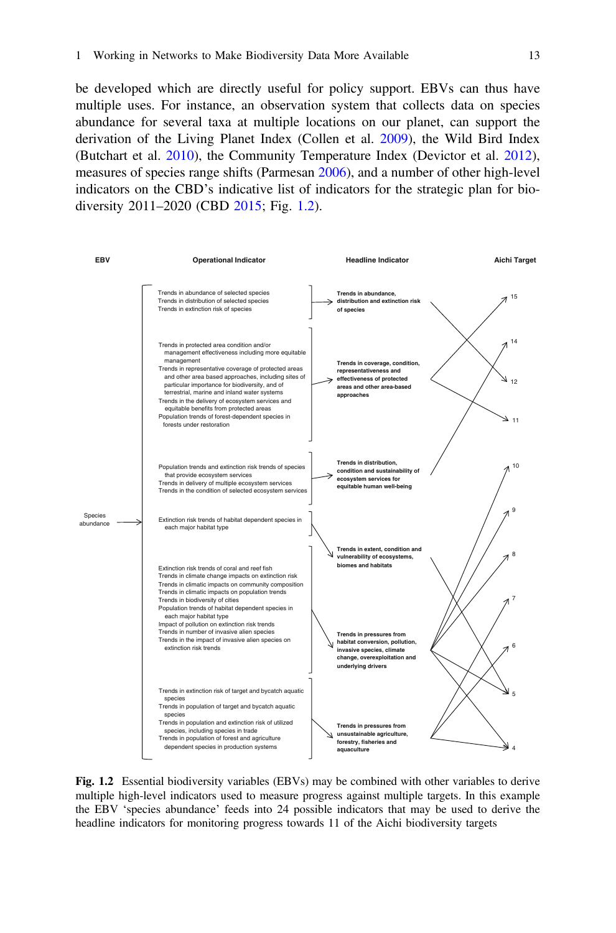be developed which are directly useful for policy support. EBVs can thus have multiple uses. For instance, an observation system that collects data on species abundance for several taxa at multiple locations on our planet, can support the derivation of the Living Planet Index (Collen et al. [2009](#page-14-0)), the Wild Bird Index (Butchart et al. [2010\)](#page-14-0), the Community Temperature Index (Devictor et al. [2012\)](#page-15-0), measures of species range shifts (Parmesan [2006](#page-15-0)), and a number of other high-level indicators on the CBD's indicative list of indicators for the strategic plan for biodiversity 2011–2020 (CBD [2015;](#page-14-0) Fig. 1.2).



Fig. 1.2 Essential biodiversity variables (EBVs) may be combined with other variables to derive multiple high-level indicators used to measure progress against multiple targets. In this example the EBV 'species abundance' feeds into 24 possible indicators that may be used to derive the headline indicators for monitoring progress towards 11 of the Aichi biodiversity targets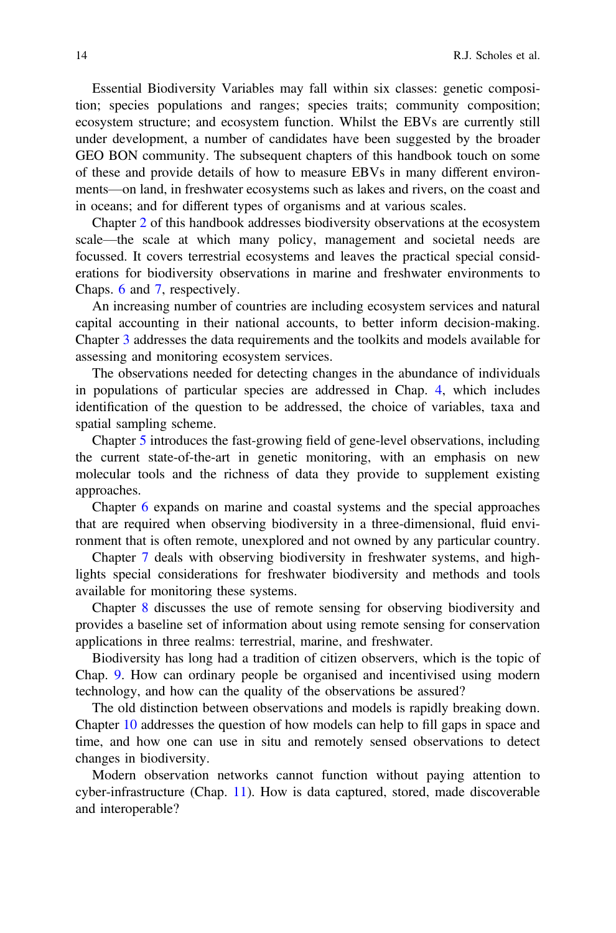Essential Biodiversity Variables may fall within six classes: genetic composition; species populations and ranges; species traits; community composition; ecosystem structure; and ecosystem function. Whilst the EBVs are currently still under development, a number of candidates have been suggested by the broader GEO BON community. The subsequent chapters of this handbook touch on some of these and provide details of how to measure EBVs in many different environments—on land, in freshwater ecosystems such as lakes and rivers, on the coast and in oceans; and for different types of organisms and at various scales.

Chapter [2](http://dx.doi.org/10.1007/978-3-319-27288-7_2) of this handbook addresses biodiversity observations at the ecosystem scale—the scale at which many policy, management and societal needs are focussed. It covers terrestrial ecosystems and leaves the practical special considerations for biodiversity observations in marine and freshwater environments to Chaps. [6](http://dx.doi.org/10.1007/978-3-319-27288-7_6) and [7](http://dx.doi.org/10.1007/978-3-319-27288-7_7), respectively.

An increasing number of countries are including ecosystem services and natural capital accounting in their national accounts, to better inform decision-making. Chapter [3](http://dx.doi.org/10.1007/978-3-319-27288-7_3) addresses the data requirements and the toolkits and models available for assessing and monitoring ecosystem services.

The observations needed for detecting changes in the abundance of individuals in populations of particular species are addressed in Chap. [4,](http://dx.doi.org/10.1007/978-3-319-27288-7_4) which includes identification of the question to be addressed, the choice of variables, taxa and spatial sampling scheme.

Chapter [5](http://dx.doi.org/10.1007/978-3-319-27288-7_5) introduces the fast-growing field of gene-level observations, including the current state-of-the-art in genetic monitoring, with an emphasis on new molecular tools and the richness of data they provide to supplement existing approaches.

Chapter [6](http://dx.doi.org/10.1007/978-3-319-27288-7_6) expands on marine and coastal systems and the special approaches that are required when observing biodiversity in a three-dimensional, fluid environment that is often remote, unexplored and not owned by any particular country.

Chapter [7](http://dx.doi.org/10.1007/978-3-319-27288-7_7) deals with observing biodiversity in freshwater systems, and highlights special considerations for freshwater biodiversity and methods and tools available for monitoring these systems.

Chapter [8](http://dx.doi.org/10.1007/978-3-319-27288-7_8) discusses the use of remote sensing for observing biodiversity and provides a baseline set of information about using remote sensing for conservation applications in three realms: terrestrial, marine, and freshwater.

Biodiversity has long had a tradition of citizen observers, which is the topic of Chap. [9.](http://dx.doi.org/10.1007/978-3-319-27288-7_9) How can ordinary people be organised and incentivised using modern technology, and how can the quality of the observations be assured?

The old distinction between observations and models is rapidly breaking down. Chapter [10](http://dx.doi.org/10.1007/978-3-319-27288-7_10) addresses the question of how models can help to fill gaps in space and time, and how one can use in situ and remotely sensed observations to detect changes in biodiversity.

Modern observation networks cannot function without paying attention to cyber-infrastructure (Chap. [11](http://dx.doi.org/10.1007/978-3-319-27288-7_11)). How is data captured, stored, made discoverable and interoperable?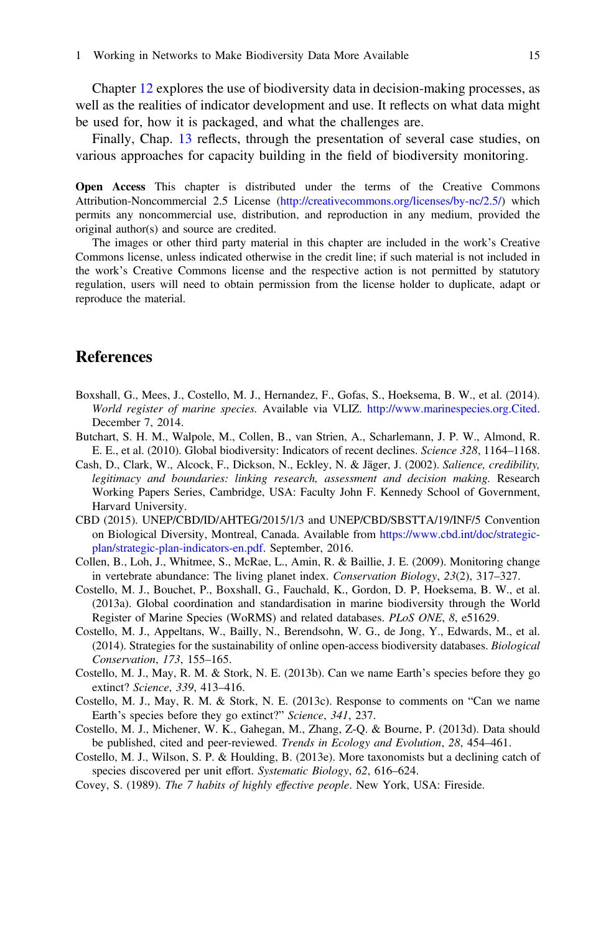<span id="page-14-0"></span>Chapter [12](http://dx.doi.org/10.1007/978-3-319-27288-7_12) explores the use of biodiversity data in decision-making processes, as well as the realities of indicator development and use. It reflects on what data might be used for, how it is packaged, and what the challenges are.

Finally, Chap. [13](http://dx.doi.org/10.1007/978-3-319-27288-7_13) reflects, through the presentation of several case studies, on various approaches for capacity building in the field of biodiversity monitoring.

Open Access This chapter is distributed under the terms of the Creative Commons Attribution-Noncommercial 2.5 License [\(http://creativecommons.org/licenses/by-nc/2.5/\)](http://creativecommons.org/licenses/by-nc/2.5/) which permits any noncommercial use, distribution, and reproduction in any medium, provided the original author(s) and source are credited.

The images or other third party material in this chapter are included in the work's Creative Commons license, unless indicated otherwise in the credit line; if such material is not included in the work's Creative Commons license and the respective action is not permitted by statutory regulation, users will need to obtain permission from the license holder to duplicate, adapt or reproduce the material.

## **References**

- Boxshall, G., Mees, J., Costello, M. J., Hernandez, F., Gofas, S., Hoeksema, B. W., et al. (2014). World register of marine species. Available via VLIZ. <http://www.marinespecies.org.Cited>. December 7, 2014.
- Butchart, S. H. M., Walpole, M., Collen, B., van Strien, A., Scharlemann, J. P. W., Almond, R. E. E., et al. (2010). Global biodiversity: Indicators of recent declines. Science 328, 1164–1168.
- Cash, D., Clark, W., Alcock, F., Dickson, N., Eckley, N. & Jäger, J. (2002). Salience, credibility, legitimacy and boundaries: linking research, assessment and decision making. Research Working Papers Series, Cambridge, USA: Faculty John F. Kennedy School of Government, Harvard University.
- CBD (2015). UNEP/CBD/ID/AHTEG/2015/1/3 and UNEP/CBD/SBSTTA/19/INF/5 Convention on Biological Diversity, Montreal, Canada. Available from [https://www.cbd.int/doc/strategic](https://www.cbd.int/doc/strategic-plan/strategic-plan-indicators-en.pdf)[plan/strategic-plan-indicators-en.pdf.](https://www.cbd.int/doc/strategic-plan/strategic-plan-indicators-en.pdf) September, 2016.
- Collen, B., Loh, J., Whitmee, S., McRae, L., Amin, R. & Baillie, J. E. (2009). Monitoring change in vertebrate abundance: The living planet index. Conservation Biology, 23(2), 317–327.
- Costello, M. J., Bouchet, P., Boxshall, G., Fauchald, K., Gordon, D. P, Hoeksema, B. W., et al. (2013a). Global coordination and standardisation in marine biodiversity through the World Register of Marine Species (WoRMS) and related databases. PLoS ONE, 8, e51629.
- Costello, M. J., Appeltans, W., Bailly, N., Berendsohn, W. G., de Jong, Y., Edwards, M., et al. (2014). Strategies for the sustainability of online open-access biodiversity databases. Biological Conservation, 173, 155–165.
- Costello, M. J., May, R. M. & Stork, N. E. (2013b). Can we name Earth's species before they go extinct? Science, 339, 413–416.
- Costello, M. J., May, R. M. & Stork, N. E. (2013c). Response to comments on "Can we name Earth's species before they go extinct?" Science, 341, 237.
- Costello, M. J., Michener, W. K., Gahegan, M., Zhang, Z-Q. & Bourne, P. (2013d). Data should be published, cited and peer-reviewed. Trends in Ecology and Evolution, 28, 454-461.
- Costello, M. J., Wilson, S. P. & Houlding, B. (2013e). More taxonomists but a declining catch of species discovered per unit effort. Systematic Biology, 62, 616-624.
- Covey, S. (1989). The 7 habits of highly effective people. New York, USA: Fireside.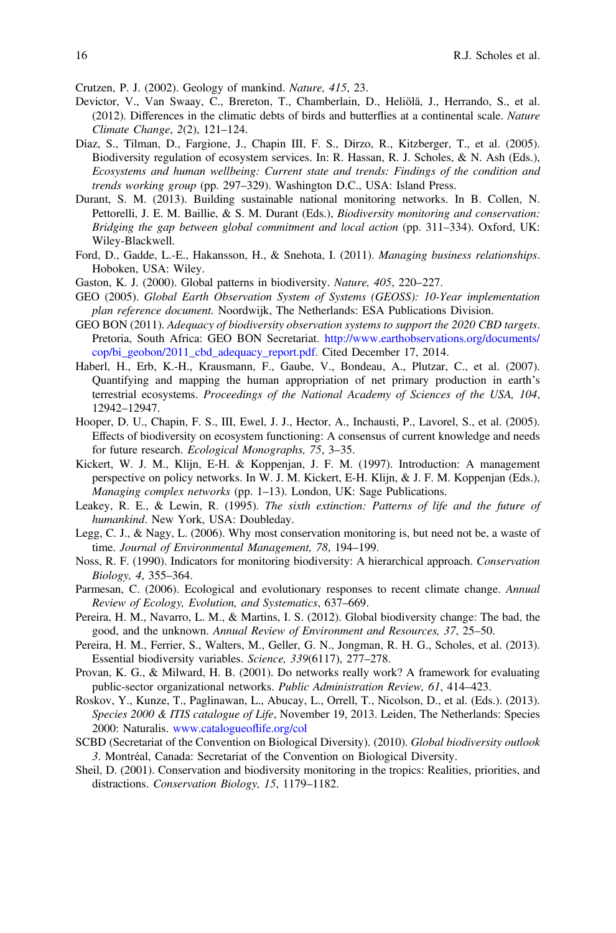<span id="page-15-0"></span>Crutzen, P. J. (2002). Geology of mankind. Nature, 415, 23.

- Devictor, V., Van Swaay, C., Brereton, T., Chamberlain, D., Heliölä, J., Herrando, S., et al. (2012). Differences in the climatic debts of birds and butterflies at a continental scale. Nature Climate Change, 2(2), 121–124.
- Díaz, S., Tilman, D., Fargione, J., Chapin III, F. S., Dirzo, R., Kitzberger, T., et al. (2005). Biodiversity regulation of ecosystem services. In: R. Hassan, R. J. Scholes, & N. Ash (Eds.), Ecosystems and human wellbeing: Current state and trends: Findings of the condition and trends working group (pp. 297-329). Washington D.C., USA: Island Press.
- Durant, S. M. (2013). Building sustainable national monitoring networks. In B. Collen, N. Pettorelli, J. E. M. Baillie, & S. M. Durant (Eds.), Biodiversity monitoring and conservation: Bridging the gap between global commitment and local action (pp. 311–334). Oxford, UK: Wiley-Blackwell.
- Ford, D., Gadde, L.-E., Hakansson, H., & Snehota, I. (2011). Managing business relationships. Hoboken, USA: Wiley.
- Gaston, K. J. (2000). Global patterns in biodiversity. Nature, 405, 220–227.
- GEO (2005). Global Earth Observation System of Systems (GEOSS): 10-Year implementation plan reference document. Noordwijk, The Netherlands: ESA Publications Division.
- GEO BON (2011). Adequacy of biodiversity observation systems to support the 2020 CBD targets. Pretoria, South Africa: GEO BON Secretariat. [http://www.earthobservations.org/documents/](http://www.earthobservations.org/documents/cop/bi_geobon/2011_cbd_adequacy_report.pdf) [cop/bi\\_geobon/2011\\_cbd\\_adequacy\\_report.pdf](http://www.earthobservations.org/documents/cop/bi_geobon/2011_cbd_adequacy_report.pdf). Cited December 17, 2014.
- Haberl, H., Erb, K.-H., Krausmann, F., Gaube, V., Bondeau, A., Plutzar, C., et al. (2007). Quantifying and mapping the human appropriation of net primary production in earth's terrestrial ecosystems. Proceedings of the National Academy of Sciences of the USA, 104, 12942–12947.
- Hooper, D. U., Chapin, F. S., III, Ewel, J. J., Hector, A., Inchausti, P., Lavorel, S., et al. (2005). Effects of biodiversity on ecosystem functioning: A consensus of current knowledge and needs for future research. Ecological Monographs, 75, 3–35.
- Kickert, W. J. M., Klijn, E-H. & Koppenjan, J. F. M. (1997). Introduction: A management perspective on policy networks. In W. J. M. Kickert, E-H. Klijn, & J. F. M. Koppenjan (Eds.), Managing complex networks (pp. 1-13). London, UK: Sage Publications.
- Leakey, R. E., & Lewin, R. (1995). The sixth extinction: Patterns of life and the future of humankind. New York, USA: Doubleday.
- Legg, C. J., & Nagy, L. (2006). Why most conservation monitoring is, but need not be, a waste of time. Journal of Environmental Management, 78, 194-199.
- Noss, R. F. (1990). Indicators for monitoring biodiversity: A hierarchical approach. Conservation Biology, 4, 355–364.
- Parmesan, C. (2006). Ecological and evolutionary responses to recent climate change. Annual Review of Ecology, Evolution, and Systematics, 637–669.
- Pereira, H. M., Navarro, L. M., & Martins, I. S. (2012). Global biodiversity change: The bad, the good, and the unknown. Annual Review of Environment and Resources, 37, 25–50.
- Pereira, H. M., Ferrier, S., Walters, M., Geller, G. N., Jongman, R. H. G., Scholes, et al. (2013). Essential biodiversity variables. Science, 339(6117), 277–278.
- Provan, K. G., & Milward, H. B. (2001). Do networks really work? A framework for evaluating public-sector organizational networks. Public Administration Review, 61, 414–423.
- Roskov, Y., Kunze, T., Paglinawan, L., Abucay, L., Orrell, T., Nicolson, D., et al. (Eds.). (2013). Species 2000 & ITIS catalogue of Life, November 19, 2013. Leiden, The Netherlands: Species 2000: Naturalis. [www.catalogueo](http://www.catalogueoflife.org/col)flife.org/col
- SCBD (Secretariat of the Convention on Biological Diversity). (2010). Global biodiversity outlook 3. Montréal, Canada: Secretariat of the Convention on Biological Diversity.
- Sheil, D. (2001). Conservation and biodiversity monitoring in the tropics: Realities, priorities, and distractions. Conservation Biology, 15, 1179–1182.